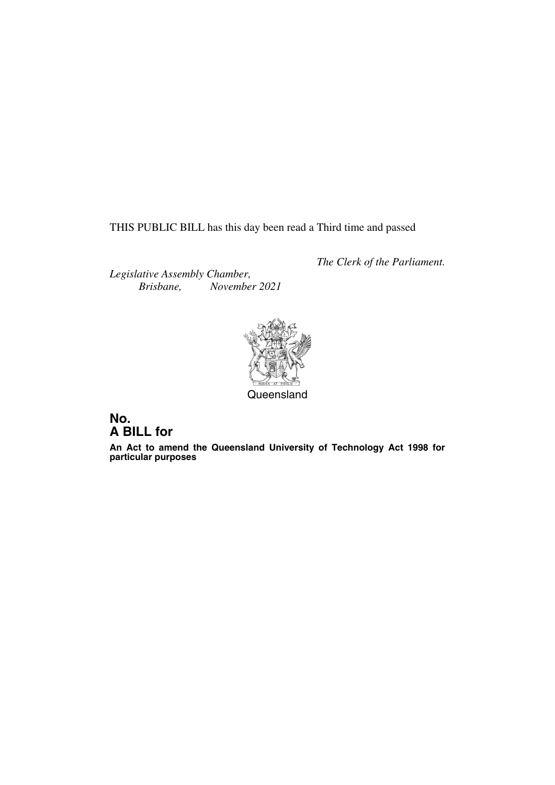THIS PUBLIC BILL has this day been read a Third time and passed

*The Clerk of the Parliament.*

*Legislative Assembly Chamber, Brisbane, November 2021*



### **No. A BILL for**

**An Act to amend the Queensland University of Technology Act 1998 for particular purposes**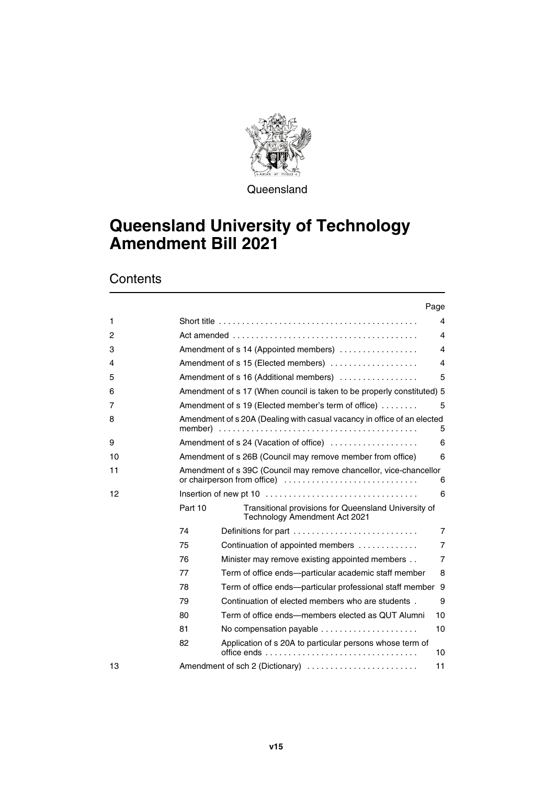

**Queensland** 

## **Queensland University of Technology Amendment Bill 2021**

**Contents** 

|              |                                                                              | Page                                                                                       |                |
|--------------|------------------------------------------------------------------------------|--------------------------------------------------------------------------------------------|----------------|
| $\mathbf{1}$ |                                                                              | Short title $\ldots \ldots \ldots \ldots \ldots \ldots \ldots \ldots \ldots \ldots \ldots$ | 4              |
| 2            |                                                                              |                                                                                            | 4              |
| 3            |                                                                              | Amendment of s 14 (Appointed members)                                                      | 4              |
| 4            | Amendment of s 15 (Elected members)                                          |                                                                                            | 4              |
| 5            | Amendment of s 16 (Additional members)                                       |                                                                                            | 5              |
| 6            | Amendment of s 17 (When council is taken to be properly constituted) 5       |                                                                                            |                |
| 7            | Amendment of s 19 (Elected member's term of office)<br>5                     |                                                                                            |                |
| 8            | Amendment of s 20A (Dealing with casual vacancy in office of an elected<br>5 |                                                                                            |                |
| 9            |                                                                              | Amendment of s 24 (Vacation of office)                                                     | 6              |
| 10           |                                                                              | Amendment of s 26B (Council may remove member from office)                                 | 6              |
| 11           | Amendment of s 39C (Council may remove chancellor, vice-chancellor<br>6      |                                                                                            |                |
| 12           |                                                                              |                                                                                            | 6              |
|              | Part 10                                                                      | Transitional provisions for Queensland University of<br>Technology Amendment Act 2021      |                |
|              | 74                                                                           | Definitions for part                                                                       | 7              |
|              | 75                                                                           | Continuation of appointed members                                                          | 7              |
|              | 76                                                                           | Minister may remove existing appointed members                                             | $\overline{7}$ |
|              | 77                                                                           | Term of office ends—particular academic staff member                                       | 8              |
|              | 78                                                                           | Term of office ends—particular professional staff member                                   | 9              |
|              | 79                                                                           | Continuation of elected members who are students.                                          | 9              |
|              | 80                                                                           | Term of office ends—members elected as QUT Alumni                                          | 10             |
|              | 81                                                                           | No compensation payable                                                                    | 10             |
|              | 82                                                                           | Application of s 20A to particular persons whose term of                                   | 10             |
| 13           |                                                                              | Amendment of sch 2 (Dictionary)                                                            | 11             |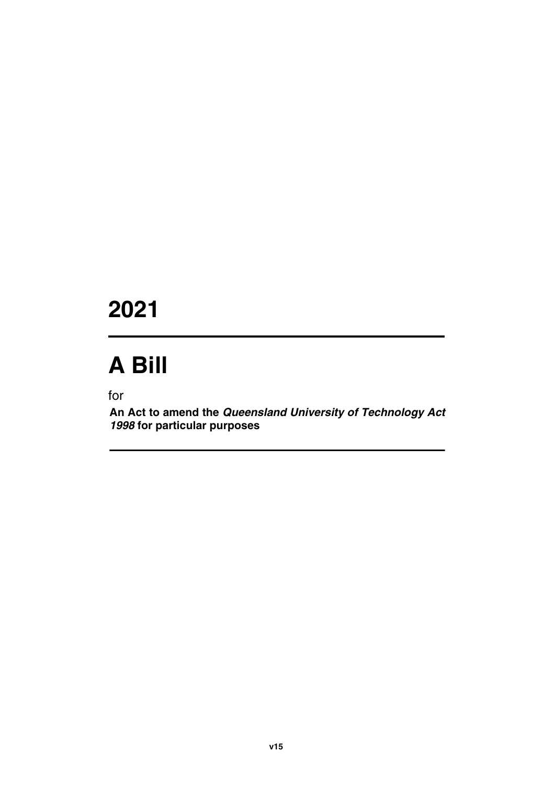# **2021**

# **A Bill**

for

**An Act to amend the** *Queensland University of Technology Act 1998* **for particular purposes**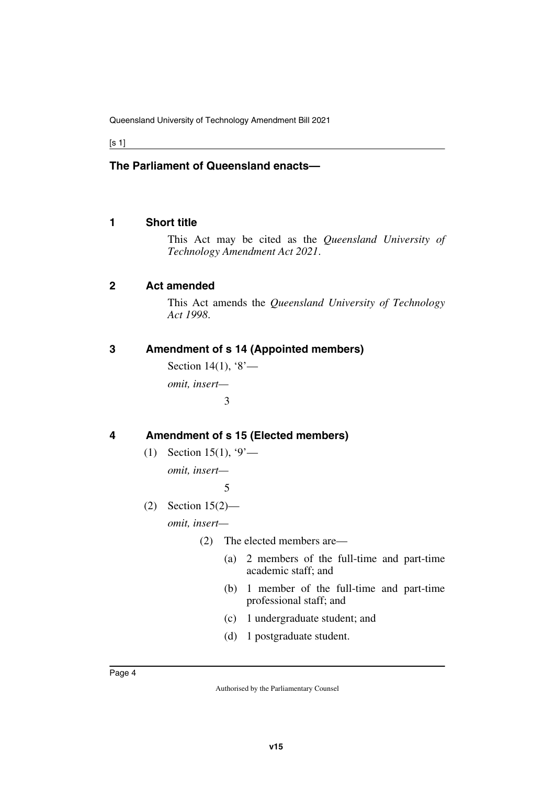[s 1]

#### **The Parliament of Queensland enacts—**

#### <span id="page-5-0"></span>**1 Short title**

<span id="page-5-1"></span>This Act may be cited as the *Queensland University of Technology Amendment Act 2021*.

#### <span id="page-5-2"></span>**2 Act amended**

<span id="page-5-3"></span>This Act amends the *Queensland University of Technology Act 1998*.

#### <span id="page-5-4"></span>**3 Amendment of s 14 (Appointed members)**

<span id="page-5-5"></span>Section 14(1),  $8$ *omit, insert—* 3

#### <span id="page-5-6"></span>**4 Amendment of s 15 (Elected members)**

<span id="page-5-7"></span>(1) Section 15(1),  $9'$ —

*omit, insert—*

5

(2) Section 15(2)—

*omit, insert—*

- (2) The elected members are—
	- (a) 2 members of the full-time and part-time academic staff; and
	- (b) 1 member of the full-time and part-time professional staff; and
	- (c) 1 undergraduate student; and
	- (d) 1 postgraduate student.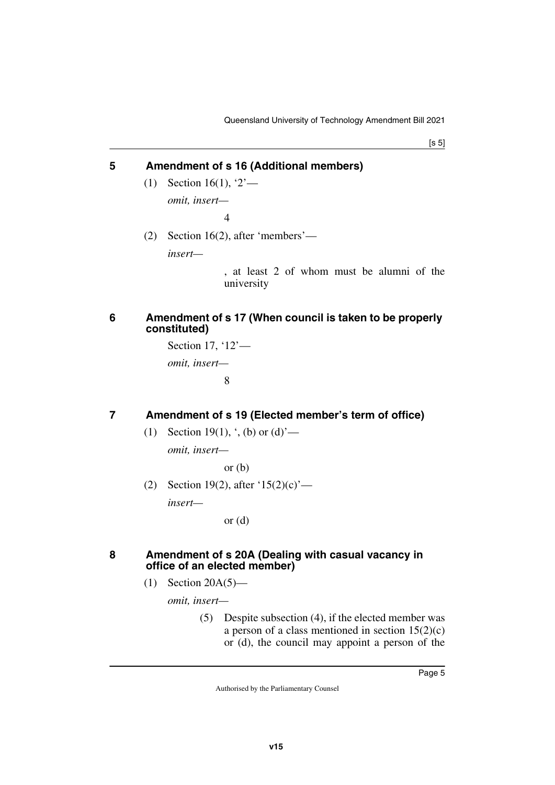[s 5]

#### <span id="page-6-0"></span>**5 Amendment of s 16 (Additional members)**

- <span id="page-6-1"></span>(1) Section 16(1), '2' *omit, insert—*  $\boldsymbol{\Delta}$
- (2) Section 16(2), after 'members'—

*insert—*

, at least 2 of whom must be alumni of the university

#### <span id="page-6-3"></span><span id="page-6-2"></span>**6 Amendment of s 17 (When council is taken to be properly constituted)**

Section 17, '12' *omit, insert—* 8

#### <span id="page-6-4"></span>**7 Amendment of s 19 (Elected member's term of office)**

<span id="page-6-5"></span>(1) Section 19(1),  $\cdot$ , (b) or (d)<sup>-</sup>—

*omit, insert—*

or  $(b)$ 

(2) Section 19(2), after  $(15(2)(c)$  *insert—*

or  $(d)$ 

#### <span id="page-6-7"></span><span id="page-6-6"></span>**8 Amendment of s 20A (Dealing with casual vacancy in office of an elected member)**

 $(1)$  Section 20A $(5)$ —

*omit, insert—*

(5) Despite subsection (4), if the elected member was a person of a class mentioned in section  $15(2)(c)$ or (d), the council may appoint a person of the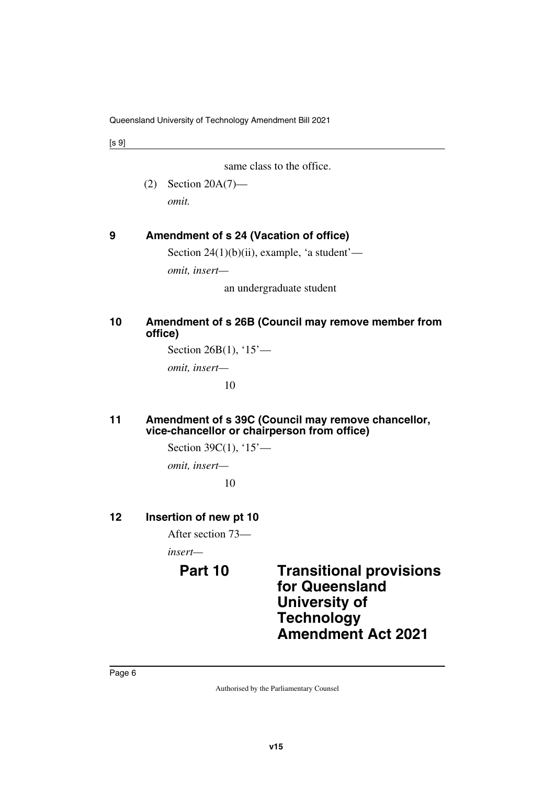[s 9]

same class to the office.

(2) Section 20A(7) *omit.*

#### <span id="page-7-0"></span>**9 Amendment of s 24 (Vacation of office)**

<span id="page-7-1"></span>Section  $24(1)(b)(ii)$ , example, 'a student'—

*omit, insert—*

an undergraduate student

#### <span id="page-7-3"></span><span id="page-7-2"></span>**10 Amendment of s 26B (Council may remove member from office)**

Section 26B(1), '15'—

*omit, insert—*

10

#### <span id="page-7-5"></span><span id="page-7-4"></span>**11 Amendment of s 39C (Council may remove chancellor, vice-chancellor or chairperson from office)**

Section 39C(1), '15'—

*omit, insert—*

<span id="page-7-9"></span>10

#### <span id="page-7-6"></span>**12 Insertion of new pt 10**

<span id="page-7-7"></span>After section 73—

*insert—*

<span id="page-7-8"></span>

### **Part 10 Transitional provisions for Queensland University of Technology Amendment Act 2021**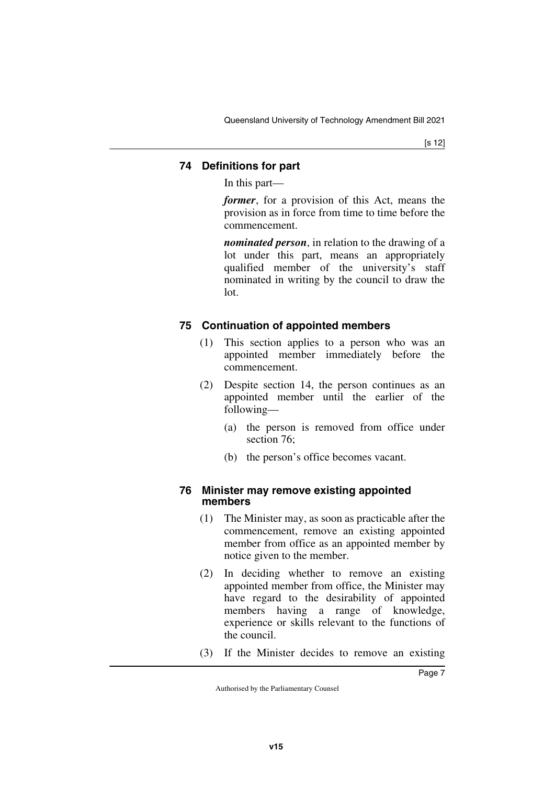#### <span id="page-8-1"></span><span id="page-8-0"></span>**74 Definitions for part**

In this part—

*former*, for a provision of this Act, means the provision as in force from time to time before the commencement.

*nominated person*, in relation to the drawing of a lot under this part, means an appropriately qualified member of the university's staff nominated in writing by the council to draw the lot.

#### <span id="page-8-3"></span><span id="page-8-2"></span>**75 Continuation of appointed members**

- (1) This section applies to a person who was an appointed member immediately before the commencement.
- (2) Despite section 14, the person continues as an appointed member until the earlier of the following—
	- (a) the person is removed from office under section 76;
	- (b) the person's office becomes vacant.

#### <span id="page-8-5"></span><span id="page-8-4"></span>**76 Minister may remove existing appointed members**

- (1) The Minister may, as soon as practicable after the commencement, remove an existing appointed member from office as an appointed member by notice given to the member.
- (2) In deciding whether to remove an existing appointed member from office, the Minister may have regard to the desirability of appointed members having a range of knowledge, experience or skills relevant to the functions of the council.
- (3) If the Minister decides to remove an existing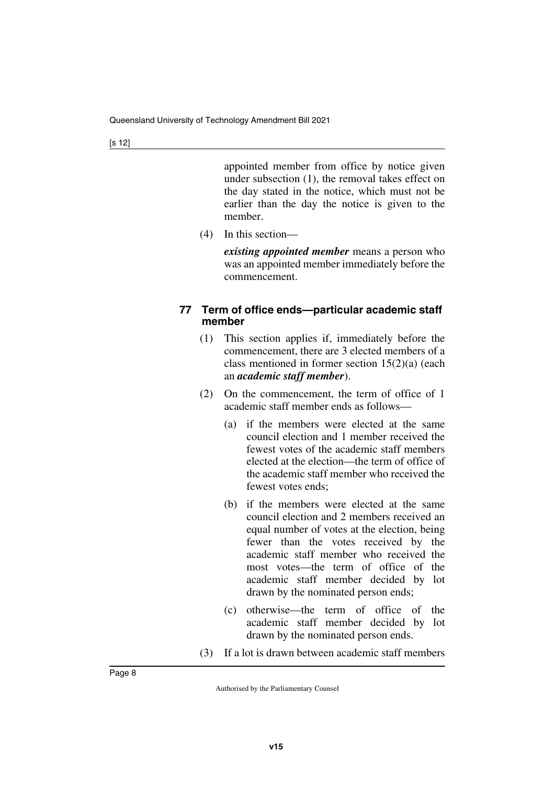appointed member from office by notice given under subsection (1), the removal takes effect on the day stated in the notice, which must not be earlier than the day the notice is given to the member.

(4) In this section—

*existing appointed member* means a person who was an appointed member immediately before the commencement.

#### <span id="page-9-1"></span><span id="page-9-0"></span>**77 Term of office ends—particular academic staff member**

- (1) This section applies if, immediately before the commencement, there are 3 elected members of a class mentioned in former section 15(2)(a) (each an *academic staff member*).
- (2) On the commencement, the term of office of 1 academic staff member ends as follows—
	- (a) if the members were elected at the same council election and 1 member received the fewest votes of the academic staff members elected at the election—the term of office of the academic staff member who received the fewest votes ends;
	- (b) if the members were elected at the same council election and 2 members received an equal number of votes at the election, being fewer than the votes received by the academic staff member who received the most votes—the term of office of the academic staff member decided by lot drawn by the nominated person ends;
	- (c) otherwise—the term of office of the academic staff member decided by lot drawn by the nominated person ends.
- (3) If a lot is drawn between academic staff members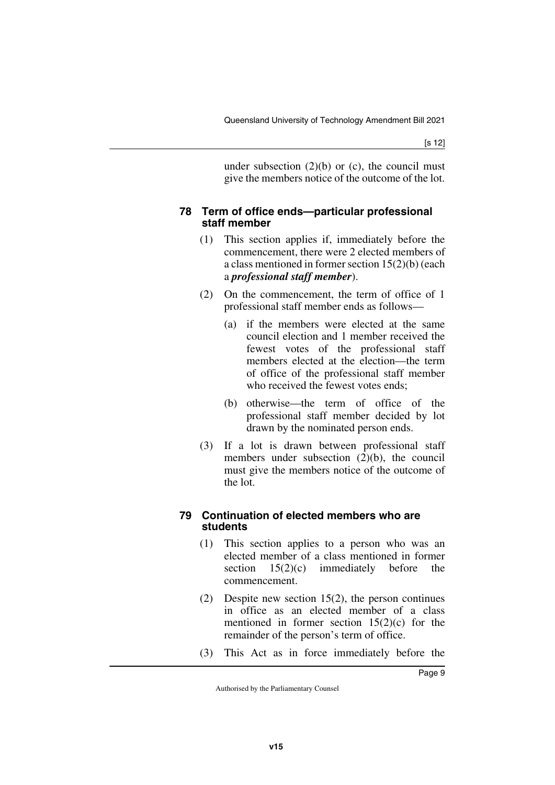under subsection  $(2)(b)$  or  $(c)$ , the council must give the members notice of the outcome of the lot.

#### <span id="page-10-1"></span><span id="page-10-0"></span>**78 Term of office ends—particular professional staff member**

- (1) This section applies if, immediately before the commencement, there were 2 elected members of a class mentioned in former section 15(2)(b) (each a *professional staff member*).
- (2) On the commencement, the term of office of 1 professional staff member ends as follows—
	- (a) if the members were elected at the same council election and 1 member received the fewest votes of the professional staff members elected at the election—the term of office of the professional staff member who received the fewest votes ends;
	- (b) otherwise—the term of office of the professional staff member decided by lot drawn by the nominated person ends.
- (3) If a lot is drawn between professional staff members under subsection (2)(b), the council must give the members notice of the outcome of the lot.

#### <span id="page-10-3"></span><span id="page-10-2"></span>**79 Continuation of elected members who are students**

- (1) This section applies to a person who was an elected member of a class mentioned in former section  $15(2)(c)$  immediately before the commencement.
- (2) Despite new section 15(2), the person continues in office as an elected member of a class mentioned in former section  $15(2)(c)$  for the remainder of the person's term of office.
- (3) This Act as in force immediately before the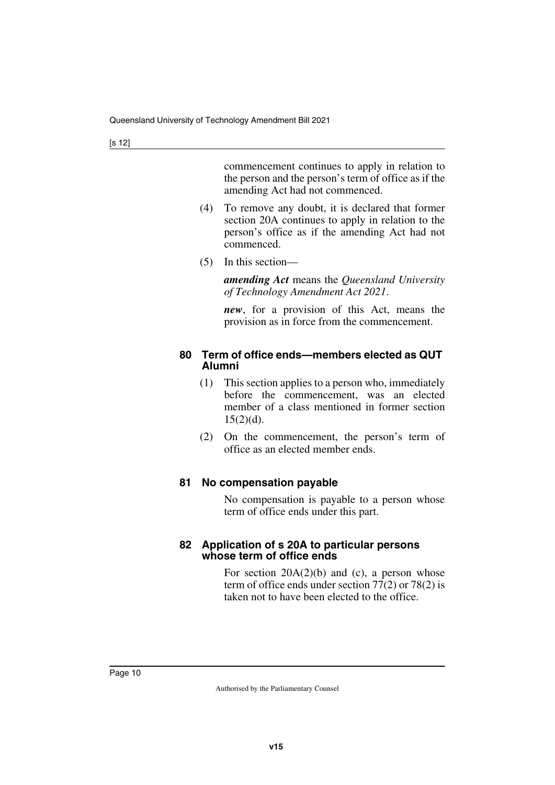commencement continues to apply in relation to the person and the person's term of office as if the amending Act had not commenced.

- (4) To remove any doubt, it is declared that former section 20A continues to apply in relation to the person's office as if the amending Act had not commenced.
- (5) In this section—

*amending Act* means the *Queensland University of Technology Amendment Act 2021*.

*new*, for a provision of this Act, means the provision as in force from the commencement.

#### <span id="page-11-1"></span><span id="page-11-0"></span>**80 Term of office ends—members elected as QUT Alumni**

- (1) This section applies to a person who, immediately before the commencement, was an elected member of a class mentioned in former section  $15(2)(d)$ .
- (2) On the commencement, the person's term of office as an elected member ends.

#### <span id="page-11-3"></span><span id="page-11-2"></span>**81 No compensation payable**

No compensation is payable to a person whose term of office ends under this part.

#### <span id="page-11-5"></span><span id="page-11-4"></span>**82 Application of s 20A to particular persons whose term of office ends**

For section  $20A(2)(b)$  and (c), a person whose term of office ends under section 77(2) or 78(2) is taken not to have been elected to the office.